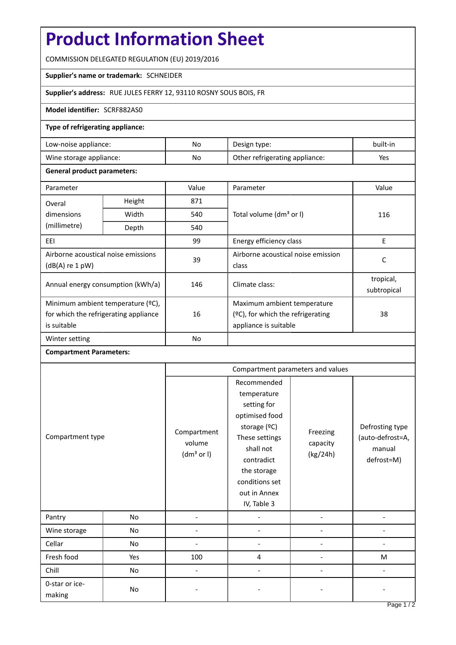# **Product Information Sheet**

COMMISSION DELEGATED REGULATION (EU) 2019/2016

## **Supplier's name or trademark:** SCHNEIDER

## **Supplier's address:** RUE JULES FERRY 12, 93110 ROSNY SOUS BOIS, FR

#### **Model identifier:** SCRF882AS0

### **Type of refrigerating appliance:**

| Low-noise appliance:    | No | Design type:                   | built-in |
|-------------------------|----|--------------------------------|----------|
| Wine storage appliance: | No | Other refrigerating appliance: | Yes      |

#### **General product parameters:**

| Parameter                                                |               | Value     | Parameter                                   | Value                    |
|----------------------------------------------------------|---------------|-----------|---------------------------------------------|--------------------------|
| Overal                                                   | Height<br>871 |           |                                             |                          |
| dimensions<br>(millimetre)                               | Width         | 540       | Total volume (dm <sup>3</sup> or I)         | 116                      |
|                                                          | Depth         | 540       |                                             |                          |
| EEI                                                      |               | 99        | Energy efficiency class                     | E                        |
| Airborne acoustical noise emissions<br>$(dB(A)$ re 1 pW) |               | 39        | Airborne acoustical noise emission<br>class | C                        |
| Annual energy consumption (kWh/a)                        |               | 146       | Climate class:                              | tropical,<br>subtropical |
| Minimum ambient temperature (°C),                        |               |           | Maximum ambient temperature                 |                          |
| for which the refrigerating appliance                    |               | 16        | $(°C)$ , for which the refrigerating        | 38                       |
| is suitable                                              |               |           | appliance is suitable                       |                          |
| Winter setting                                           |               | <b>No</b> |                                             |                          |

#### **Compartment Parameters:**

|                          |     | Compartment parameters and values               |                                                                                                                                                                                          |                                  |                                                             |
|--------------------------|-----|-------------------------------------------------|------------------------------------------------------------------------------------------------------------------------------------------------------------------------------------------|----------------------------------|-------------------------------------------------------------|
| Compartment type         |     | Compartment<br>volume<br>(dm <sup>3</sup> or I) | Recommended<br>temperature<br>setting for<br>optimised food<br>storage (°C)<br>These settings<br>shall not<br>contradict<br>the storage<br>conditions set<br>out in Annex<br>IV, Table 3 | Freezing<br>capacity<br>(kg/24h) | Defrosting type<br>(auto-defrost=A,<br>manual<br>defrost=M) |
| Pantry                   | No  |                                                 |                                                                                                                                                                                          |                                  |                                                             |
| Wine storage             | No  |                                                 |                                                                                                                                                                                          |                                  |                                                             |
| Cellar                   | No  |                                                 |                                                                                                                                                                                          |                                  |                                                             |
| Fresh food               | Yes | 100                                             | 4                                                                                                                                                                                        |                                  | M                                                           |
| Chill                    | No  | $\overline{\phantom{a}}$                        |                                                                                                                                                                                          |                                  |                                                             |
| 0-star or ice-<br>making | No  |                                                 |                                                                                                                                                                                          |                                  |                                                             |